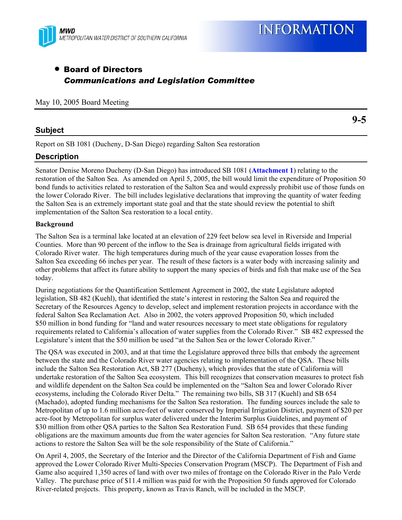

# • Board of Directors *Communications and Legislation Committee*

#### May 10, 2005 Board Meeting

## **Subject**

**9-5** 

Report on SB 1081 (Ducheny, D-San Diego) regarding Salton Sea restoration

# **Description**

Senator Denise Moreno Ducheny (D-San Diego) has introduced SB 1081 (**Attachment 1**) relating to the restoration of the Salton Sea. As amended on April 5, 2005, the bill would limit the expenditure of Proposition 50 bond funds to activities related to restoration of the Salton Sea and would expressly prohibit use of those funds on the lower Colorado River. The bill includes legislative declarations that improving the quantity of water feeding the Salton Sea is an extremely important state goal and that the state should review the potential to shift implementation of the Salton Sea restoration to a local entity.

### **Background**

The Salton Sea is a terminal lake located at an elevation of 229 feet below sea level in Riverside and Imperial Counties. More than 90 percent of the inflow to the Sea is drainage from agricultural fields irrigated with Colorado River water. The high temperatures during much of the year cause evaporation losses from the Salton Sea exceeding 66 inches per year. The result of these factors is a water body with increasing salinity and other problems that affect its future ability to support the many species of birds and fish that make use of the Sea today.

During negotiations for the Quantification Settlement Agreement in 2002, the state Legislature adopted legislation, SB 482 (Kuehl), that identified the state's interest in restoring the Salton Sea and required the Secretary of the Resources Agency to develop, select and implement restoration projects in accordance with the federal Salton Sea Reclamation Act. Also in 2002, the voters approved Proposition 50, which included \$50 million in bond funding for "land and water resources necessary to meet state obligations for regulatory requirements related to California's allocation of water supplies from the Colorado River." SB 482 expressed the Legislature's intent that the \$50 million be used "at the Salton Sea or the lower Colorado River."

The QSA was executed in 2003, and at that time the Legislature approved three bills that embody the agreement between the state and the Colorado River water agencies relating to implementation of the QSA. These bills include the Salton Sea Restoration Act, SB 277 (Ducheny), which provides that the state of California will undertake restoration of the Salton Sea ecosystem. This bill recognizes that conservation measures to protect fish and wildlife dependent on the Salton Sea could be implemented on the "Salton Sea and lower Colorado River ecosystems, including the Colorado River Delta." The remaining two bills, SB 317 (Kuehl) and SB 654 (Machado), adopted funding mechanisms for the Salton Sea restoration. The funding sources include the sale to Metropolitan of up to 1.6 million acre-feet of water conserved by Imperial Irrigation District, payment of \$20 per acre-foot by Metropolitan for surplus water delivered under the Interim Surplus Guidelines, and payment of \$30 million from other QSA parties to the Salton Sea Restoration Fund. SB 654 provides that these funding obligations are the maximum amounts due from the water agencies for Salton Sea restoration. "Any future state actions to restore the Salton Sea will be the sole responsibility of the State of California."

On April 4, 2005, the Secretary of the Interior and the Director of the California Department of Fish and Game approved the Lower Colorado River Multi-Species Conservation Program (MSCP). The Department of Fish and Game also acquired 1,350 acres of land with over two miles of frontage on the Colorado River in the Palo Verde Valley. The purchase price of \$11.4 million was paid for with the Proposition 50 funds approved for Colorado River-related projects. This property, known as Travis Ranch, will be included in the MSCP.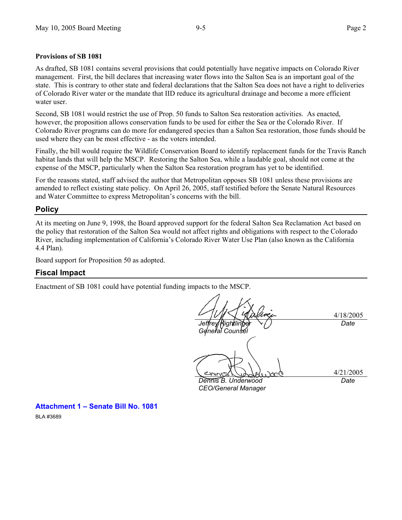### **Provisions of SB 1081**

As drafted, SB 1081 contains several provisions that could potentially have negative impacts on Colorado River management. First, the bill declares that increasing water flows into the Salton Sea is an important goal of the state. This is contrary to other state and federal declarations that the Salton Sea does not have a right to deliveries of Colorado River water or the mandate that IID reduce its agricultural drainage and become a more efficient water user.

Second, SB 1081 would restrict the use of Prop. 50 funds to Salton Sea restoration activities. As enacted, however, the proposition allows conservation funds to be used for either the Sea or the Colorado River. If Colorado River programs can do more for endangered species than a Salton Sea restoration, those funds should be used where they can be most effective - as the voters intended.

Finally, the bill would require the Wildlife Conservation Board to identify replacement funds for the Travis Ranch habitat lands that will help the MSCP. Restoring the Salton Sea, while a laudable goal, should not come at the expense of the MSCP, particularly when the Salton Sea restoration program has yet to be identified.

For the reasons stated, staff advised the author that Metropolitan opposes SB 1081 unless these provisions are amended to reflect existing state policy. On April 26, 2005, staff testified before the Senate Natural Resources and Water Committee to express Metropolitan's concerns with the bill.

### **Policy**

At its meeting on June 9, 1998, the Board approved support for the federal Salton Sea Reclamation Act based on the policy that restoration of the Salton Sea would not affect rights and obligations with respect to the Colorado River, including implementation of California's Colorado River Water Use Plan (also known as the California 4.4 Plan).

Board support for Proposition 50 as adopted.

# **Fiscal Impact**

Enactment of SB 1081 could have potential funding impacts to the MSCP.

*Jeffrey Kightlinger General Counsel* 

4/18/2005

*Date* 

*Dennis B. Underwood CEO/General Manager*  4/21/2005 *Date* 

**Attachment 1 – Senate Bill No. 1081**  BLA #3689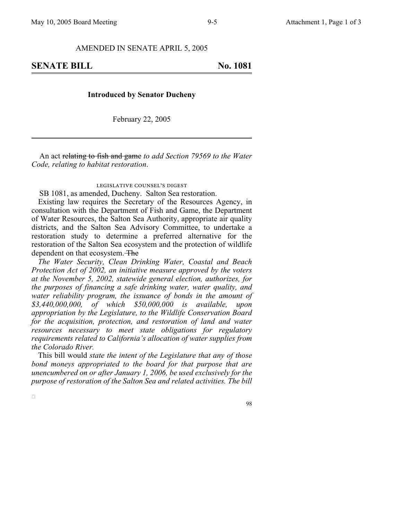AMENDED IN SENATE APRIL 5, 2005

**SENATE BILL No. 1081** 

#### **Introduced by Senator Ducheny**

February 22, 2005

An act relating to fish and game *to add Section 79569 to the Water Code, relating to habitat restoration*.

#### legislative counsel's digest

SB 1081, as amended, Ducheny. Salton Sea restoration.

Existing law requires the Secretary of the Resources Agency, in consultation with the Department of Fish and Game, the Department of Water Resources, the Salton Sea Authority, appropriate air quality districts, and the Salton Sea Advisory Committee, to undertake a restoration study to determine a preferred alternative for the restoration of the Salton Sea ecosystem and the protection of wildlife dependent on that ecosystem. The

*The Water Security, Clean Drinking Water, Coastal and Beach Protection Act of 2002, an initiative measure approved by the voters at the November 5, 2002, statewide general election, authorizes, for the purposes of financing a safe drinking water, water quality, and water reliability program, the issuance of bonds in the amount of \$3,440,000,000, of which \$50,000,000 is available, upon appropriation by the Legislature, to the Wildlife Conservation Board for the acquisition, protection, and restoration of land and water resources necessary to meet state obligations for regulatory requirements related to California's allocation of water supplies from the Colorado River.*

This bill would *state the intent of the Legislature that any of those bond moneys appropriated to the board for that purpose that are unencumbered on or after January 1, 2006, be used exclusively for the purpose of restoration of the Salton Sea and related activities. The bill*

 $\Box$ 

98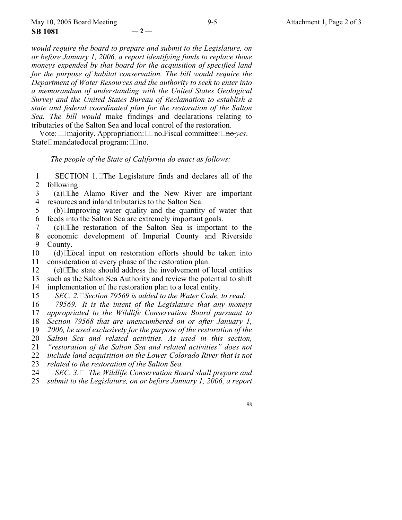*would require the board to prepare and submit to the Legislature, on or before January 1, 2006, a report identifying funds to replace those moneys expended by that board for the acquisition of specified land for the purpose of habitat conservation. The bill would require the Department of Water Resources and the authority to seek to enter into a memorandum of understanding with the United States Geological Survey and the United States Bureau of Reclamation to establish a state and federal coordinated plan for the restoration of the Salton Sea. The bill would* make findings and declarations relating to tributaries of the Salton Sea and local control of the restoration.

Vote:  $\Box$  majority. Appropriation:  $\Box$  no. Fiscal committee:  $\Box$  <del>no</del> *yes*. State $\Box$ mandated ocal program:  $\Box$  no.

*The people of the State of California do enact as follows:*

1 2 SECTION 1.The Legislature finds and declares all of the following:

3 4 (a)The Alamo River and the New River are important resources and inland tributaries to the Salton Sea.

5 6 (b)Improving water quality and the quantity of water that feeds into the Salton Sea are extremely important goals.

7 8 9 (c)The restoration of the Salton Sea is important to the economic development of Imperial County and Riverside County.

10 11  $(d)$   $\Box$ Tocal input on restoration efforts should be taken into consideration at every phase of the restoration plan.

12 13 14 (e)The state should address the involvement of local entities such as the Salton Sea Authority and review the potential to shift implementation of the restoration plan to a local entity.

15 *SEC. 2.Section 79569 is added to the Water Code, to read:*

16 *79569. It is the intent of the Legislature that any moneys*

17 *appropriated to the Wildlife Conservation Board pursuant to*

18 *Section 79568 that are unencumbered on or after January 1,*

19 *2006, be used exclusively for the purpose of the restoration of the*

20 21 *Salton Sea and related activities. As used in this section, "restoration of the Salton Sea and related activities" does not*

22 *include land acquisition on the Lower Colorado River that is not*

23 *related to the restoration of the Salton Sea.*

24 25 *SEC. 3. The Wildlife Conservation Board shall prepare and submit to the Legislature, on or before January 1, 2006, a report*

98